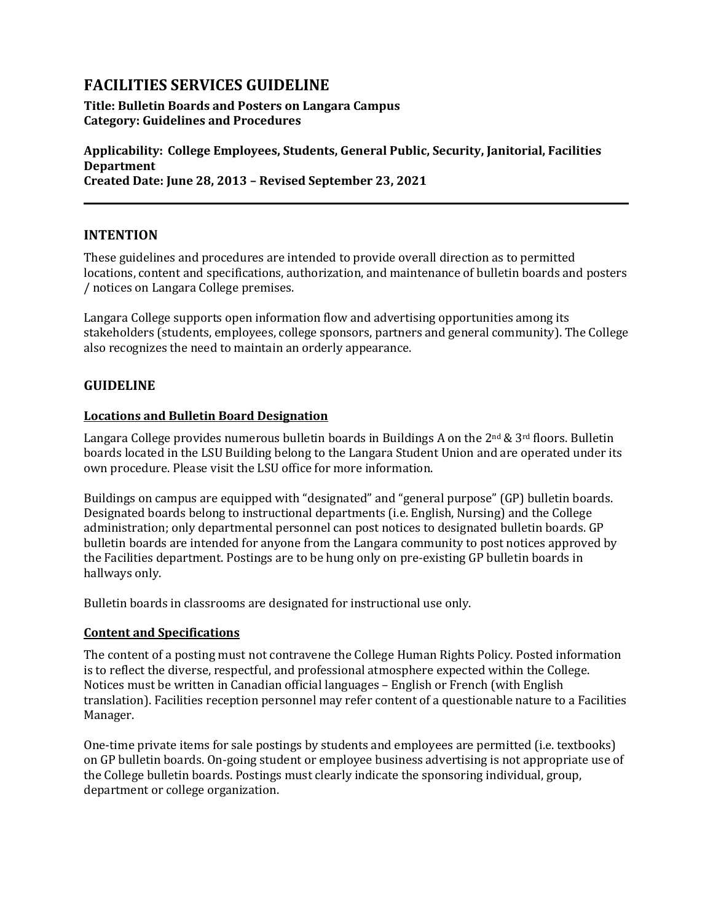# **FACILITIES SERVICES GUIDELINE**

## **Title: Bulletin Boards and Posters on Langara Campus Category: Guidelines and Procedures**

**Applicability: College Employees, Students, General Public, Security, Janitorial, Facilities Department Created Date: June 28, 2013 – Revised September 23, 2021**

# **INTENTION**

These guidelines and procedures are intended to provide overall direction as to permitted locations, content and specifications, authorization, and maintenance of bulletin boards and posters / notices on Langara College premises.

Langara College supports open information flow and advertising opportunities among its stakeholders (students, employees, college sponsors, partners and general community). The College also recognizes the need to maintain an orderly appearance.

# **GUIDELINE**

## **Locations and Bulletin Board Designation**

Langara College provides numerous bulletin boards in Buildings A on the  $2^{nd} \& 3^{rd}$  floors. Bulletin boards located in the LSU Building belong to the Langara Student Union and are operated under its own procedure. Please visit the LSU office for more information.

Buildings on campus are equipped with "designated" and "general purpose" (GP) bulletin boards. Designated boards belong to instructional departments (i.e. English, Nursing) and the College administration; only departmental personnel can post notices to designated bulletin boards. GP bulletin boards are intended for anyone from the Langara community to post notices approved by the Facilities department. Postings are to be hung only on pre-existing GP bulletin boards in hallways only.

Bulletin boards in classrooms are designated for instructional use only.

## **Content and Specifications**

The content of a posting must not contravene the College Human Rights Policy. Posted information is to reflect the diverse, respectful, and professional atmosphere expected within the College. Notices must be written in Canadian official languages – English or French (with English translation). Facilities reception personnel may refer content of a questionable nature to a Facilities Manager.

One-time private items for sale postings by students and employees are permitted (i.e. textbooks) on GP bulletin boards. On-going student or employee business advertising is not appropriate use of the College bulletin boards. Postings must clearly indicate the sponsoring individual, group, department or college organization.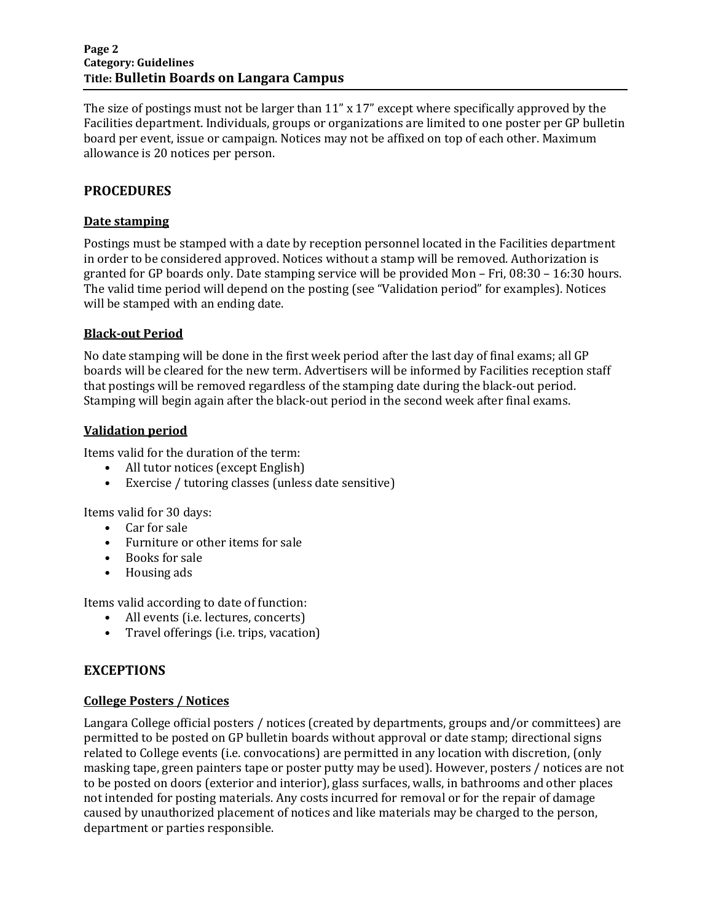#### **Page 2 Category: Guidelines Title: Bulletin Boards on Langara Campus**

The size of postings must not be larger than 11" x 17" except where specifically approved by the Facilities department. Individuals, groups or organizations are limited to one poster per GP bulletin board per event, issue or campaign. Notices may not be affixed on top of each other. Maximum allowance is 20 notices per person.

# **PROCEDURES**

#### **Date stamping**

Postings must be stamped with a date by reception personnel located in the Facilities department in order to be considered approved. Notices without a stamp will be removed. Authorization is granted for GP boards only. Date stamping service will be provided Mon – Fri, 08:30 – 16:30 hours. The valid time period will depend on the posting (see "Validation period" for examples). Notices will be stamped with an ending date.

#### **Black-out Period**

No date stamping will be done in the first week period after the last day of final exams; all GP boards will be cleared for the new term. Advertisers will be informed by Facilities reception staff that postings will be removed regardless of the stamping date during the black-out period. Stamping will begin again after the black-out period in the second week after final exams.

#### **Validation period**

Items valid for the duration of the term:

- All tutor notices (except English)
- Exercise / tutoring classes (unless date sensitive)

Items valid for 30 days:

- Car for sale
- Furniture or other items for sale
- Books for sale
- Housing ads

Items valid according to date of function:

- All events (i.e. lectures, concerts)
- Travel offerings (i.e. trips, vacation)

## **EXCEPTIONS**

#### **College Posters / Notices**

Langara College official posters / notices (created by departments, groups and/or committees) are permitted to be posted on GP bulletin boards without approval or date stamp; directional signs related to College events (i.e. convocations) are permitted in any location with discretion, (only masking tape, green painters tape or poster putty may be used). However, posters / notices are not to be posted on doors (exterior and interior), glass surfaces, walls, in bathrooms and other places not intended for posting materials. Any costs incurred for removal or for the repair of damage caused by unauthorized placement of notices and like materials may be charged to the person, department or parties responsible.